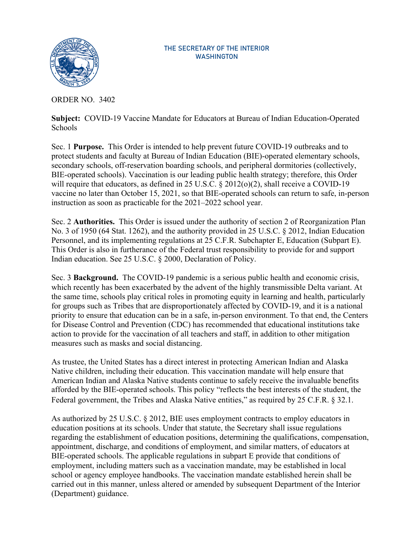

## THE SECRETARY OF THE INTERIOR WASHINGTON

ORDER NO. 3402

**Subject:** COVID-19 Vaccine Mandate for Educators at Bureau of Indian Education-Operated **Schools** 

Sec. 1 **Purpose.** This Order is intended to help prevent future COVID-19 outbreaks and to protect students and faculty at Bureau of Indian Education (BIE)-operated elementary schools, secondary schools, off-reservation boarding schools, and peripheral dormitories (collectively, BIE-operated schools). Vaccination is our leading public health strategy; therefore, this Order will require that educators, as defined in 25 U.S.C. § 2012(o)(2), shall receive a COVID-19 vaccine no later than October 15, 2021, so that BIE-operated schools can return to safe, in-person instruction as soon as practicable for the 2021–2022 school year.

Sec. 2 **Authorities.** This Order is issued under the authority of section 2 of Reorganization Plan No. 3 of 1950 (64 Stat. 1262), and the authority provided in 25 U.S.C. § 2012, Indian Education Personnel, and its implementing regulations at 25 C.F.R. Subchapter E, Education (Subpart E). This Order is also in furtherance of the Federal trust responsibility to provide for and support Indian education. See 25 U.S.C. § 2000, Declaration of Policy.

Sec. 3 **Background.** The COVID-19 pandemic is a serious public health and economic crisis, which recently has been exacerbated by the advent of the highly transmissible Delta variant. At the same time, schools play critical roles in promoting equity in learning and health, particularly for groups such as Tribes that are disproportionately affected by COVID-19, and it is a national priority to ensure that education can be in a safe, in-person environment. To that end, the Centers for Disease Control and Prevention (CDC) has recommended that educational institutions take action to provide for the vaccination of all teachers and staff, in addition to other mitigation measures such as masks and social distancing.

As trustee, the United States has a direct interest in protecting American Indian and Alaska Native children, including their education. This vaccination mandate will help ensure that American Indian and Alaska Native students continue to safely receive the invaluable benefits afforded by the BIE-operated schools. This policy "reflects the best interests of the student, the Federal government, the Tribes and Alaska Native entities," as required by 25 C.F.R. § 32.1.

As authorized by 25 U.S.C. § 2012, BIE uses employment contracts to employ educators in education positions at its schools. Under that statute, the Secretary shall issue regulations regarding the establishment of education positions, determining the qualifications, compensation, appointment, discharge, and conditions of employment, and similar matters, of educators at BIE-operated schools. The applicable regulations in subpart E provide that conditions of employment, including matters such as a vaccination mandate, may be established in local school or agency employee handbooks. The vaccination mandate established herein shall be carried out in this manner, unless altered or amended by subsequent Department of the Interior (Department) guidance.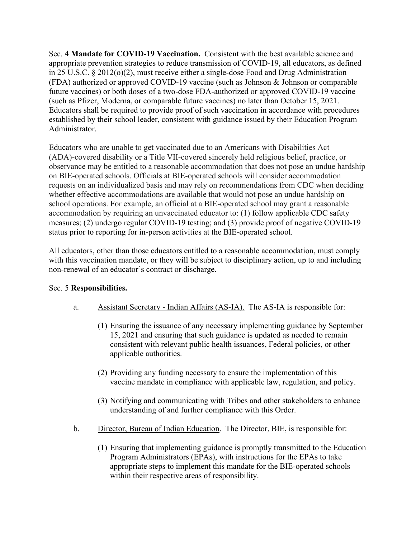Sec. 4 **Mandate for COVID-19 Vaccination.** Consistent with the best available science and appropriate prevention strategies to reduce transmission of COVID-19, all educators, as defined in 25 U.S.C. § 2012(o)(2), must receive either a single-dose Food and Drug Administration (FDA) authorized or approved COVID-19 vaccine (such as Johnson & Johnson or comparable future vaccines) or both doses of a two-dose FDA-authorized or approved COVID-19 vaccine (such as Pfizer, Moderna, or comparable future vaccines) no later than October 15, 2021. Educators shall be required to provide proof of such vaccination in accordance with procedures established by their school leader, consistent with guidance issued by their Education Program Administrator.

Educators who are unable to get vaccinated due to an Americans with Disabilities Act (ADA)-covered disability or a Title VII-covered sincerely held religious belief, practice, or observance may be entitled to a reasonable accommodation that does not pose an undue hardship on BIE-operated schools. Officials at BIE-operated schools will consider accommodation requests on an individualized basis and may rely on recommendations from CDC when deciding whether effective accommodations are available that would not pose an undue hardship on school operations. For example, an official at a BIE-operated school may grant a reasonable accommodation by requiring an unvaccinated educator to: (1) follow applicable CDC safety measures; (2) undergo regular COVID-19 testing; and (3) provide proof of negative COVID-19 status prior to reporting for in-person activities at the BIE-operated school.

All educators, other than those educators entitled to a reasonable accommodation, must comply with this vaccination mandate, or they will be subject to disciplinary action, up to and including non-renewal of an educator's contract or discharge.

## Sec. 5 **Responsibilities.**

- a. Assistant Secretary Indian Affairs (AS-IA). The AS-IA is responsible for:
	- (1) Ensuring the issuance of any necessary implementing guidance by September 15, 2021 and ensuring that such guidance is updated as needed to remain consistent with relevant public health issuances, Federal policies, or other applicable authorities.
	- (2) Providing any funding necessary to ensure the implementation of this vaccine mandate in compliance with applicable law, regulation, and policy.
	- (3) Notifying and communicating with Tribes and other stakeholders to enhance understanding of and further compliance with this Order.
- b. Director, Bureau of Indian Education. The Director, BIE, is responsible for:
	- (1) Ensuring that implementing guidance is promptly transmitted to the Education Program Administrators (EPAs), with instructions for the EPAs to take appropriate steps to implement this mandate for the BIE-operated schools within their respective areas of responsibility.